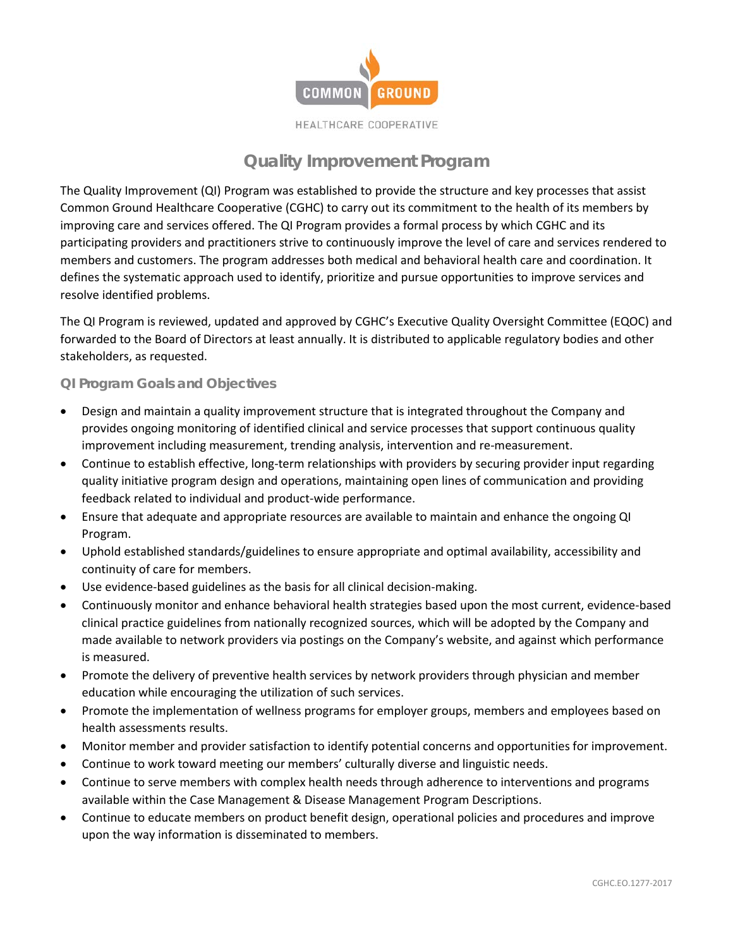

HEALTHCARE COOPERATIVE

## **Quality Improvement Program**

The Quality Improvement (QI) Program was established to provide the structure and key processes that assist Common Ground Healthcare Cooperative (CGHC) to carry out its commitment to the health of its members by improving care and services offered. The QI Program provides a formal process by which CGHC and its participating providers and practitioners strive to continuously improve the level of care and services rendered to members and customers. The program addresses both medical and behavioral health care and coordination. It defines the systematic approach used to identify, prioritize and pursue opportunities to improve services and resolve identified problems.

The QI Program is reviewed, updated and approved by CGHC's Executive Quality Oversight Committee (EQOC) and forwarded to the Board of Directors at least annually. It is distributed to applicable regulatory bodies and other stakeholders, as requested.

## **QI Program Goals and Objectives**

- Design and maintain a quality improvement structure that is integrated throughout the Company and provides ongoing monitoring of identified clinical and service processes that support continuous quality improvement including measurement, trending analysis, intervention and re-measurement.
- Continue to establish effective, long-term relationships with providers by securing provider input regarding quality initiative program design and operations, maintaining open lines of communication and providing feedback related to individual and product-wide performance.
- Ensure that adequate and appropriate resources are available to maintain and enhance the ongoing QI Program.
- Uphold established standards/guidelines to ensure appropriate and optimal availability, accessibility and continuity of care for members.
- Use evidence-based guidelines as the basis for all clinical decision-making.
- Continuously monitor and enhance behavioral health strategies based upon the most current, evidence-based clinical practice guidelines from nationally recognized sources, which will be adopted by the Company and made available to network providers via postings on the Company's website, and against which performance is measured.
- Promote the delivery of preventive health services by network providers through physician and member education while encouraging the utilization of such services.
- Promote the implementation of wellness programs for employer groups, members and employees based on health assessments results.
- Monitor member and provider satisfaction to identify potential concerns and opportunities for improvement.
- Continue to work toward meeting our members' culturally diverse and linguistic needs.
- Continue to serve members with complex health needs through adherence to interventions and programs available within the Case Management & Disease Management Program Descriptions.
- Continue to educate members on product benefit design, operational policies and procedures and improve upon the way information is disseminated to members.